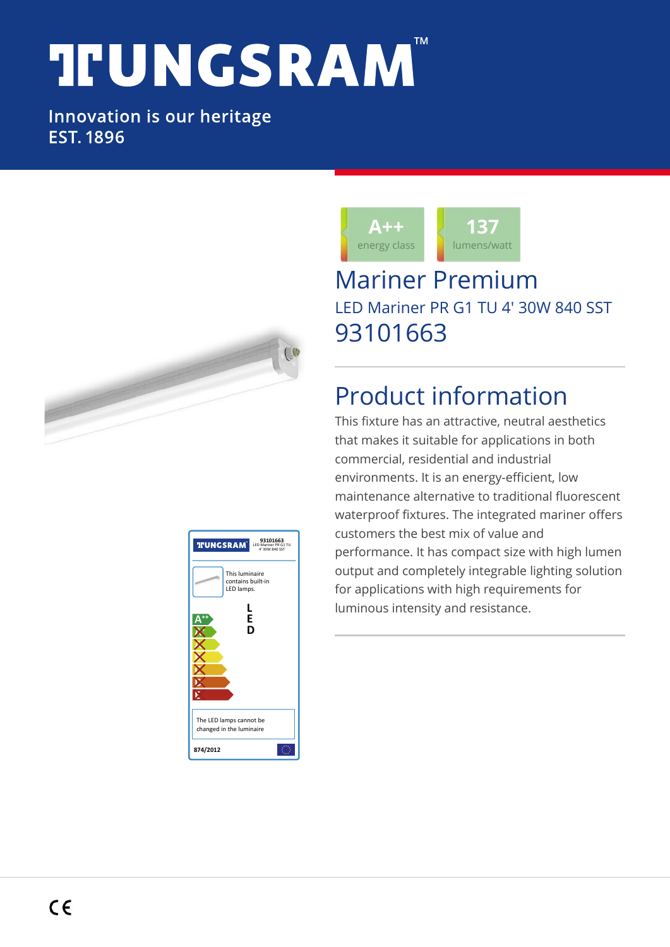# **TFUNGSRAM**

#### Innovation is our heritage **EST. 1896**







### Mariner Premium LED Mariner PR G1 TU 4' 30W 840 SST 93101663

## Product information

This fixture has an attractive, neutral aesthetics that makes it suitable for applications in both commercial, residential and industrial environments. It is an energy-efficient, low maintenance alternative to traditional fluorescent waterproof fixtures. The integrated mariner offers customers the best mix of value and performance. It has compact size with high lumen output and completely integrable lighting solution for applications with high requirements for luminous intensity and resistance.

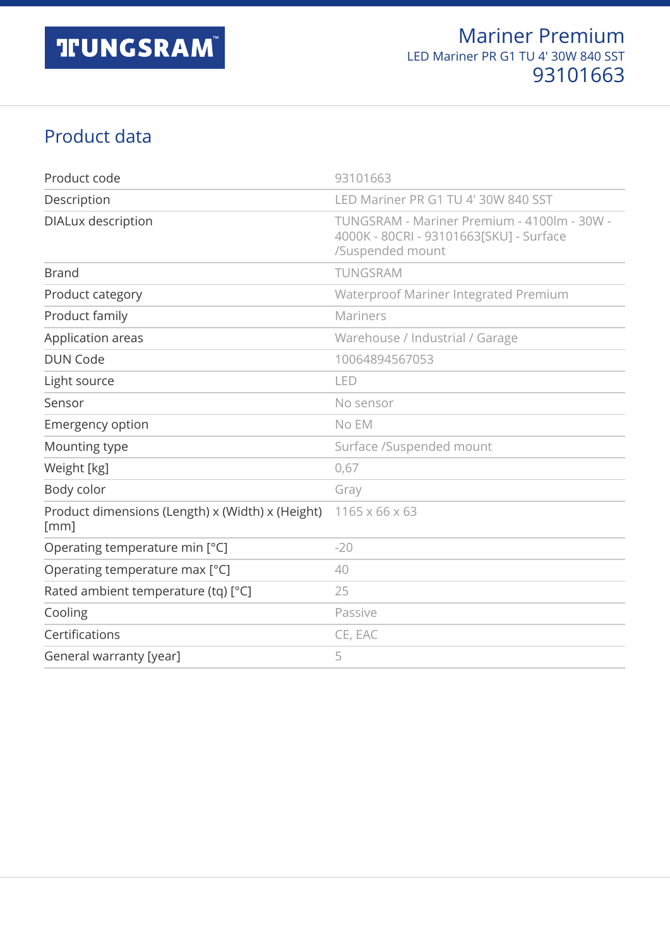#### Product data

| Product code                                             | 93101663                                                                                                   |
|----------------------------------------------------------|------------------------------------------------------------------------------------------------------------|
| Description                                              | LED Mariner PR G1 TU 4' 30W 840 SST                                                                        |
| <b>DIALux description</b>                                | TUNGSRAM - Mariner Premium - 4100lm - 30W -<br>4000K - 80CRI - 93101663[SKU] - Surface<br>/Suspended mount |
| <b>Brand</b>                                             | TUNGSRAM                                                                                                   |
| Product category                                         | Waterproof Mariner Integrated Premium                                                                      |
| Product family                                           | Mariners                                                                                                   |
| Application areas                                        | Warehouse / Industrial / Garage                                                                            |
| <b>DUN Code</b>                                          | 10064894567053                                                                                             |
| Light source                                             | LED                                                                                                        |
| Sensor                                                   | No sensor                                                                                                  |
| <b>Emergency option</b>                                  | No EM                                                                                                      |
| Mounting type                                            | Surface /Suspended mount                                                                                   |
| Weight [kg]                                              | 0,67                                                                                                       |
| Body color                                               | Gray                                                                                                       |
| Product dimensions (Length) x (Width) x (Height)<br>[mm] | 1165 x 66 x 63                                                                                             |
| Operating temperature min [°C]                           | $-20$                                                                                                      |
| Operating temperature max [°C]                           | 40                                                                                                         |
| Rated ambient temperature (tq) [°C]                      | 25                                                                                                         |
| Cooling                                                  | Passive                                                                                                    |
| Certifications                                           | CE, EAC                                                                                                    |
| General warranty [year]                                  | 5                                                                                                          |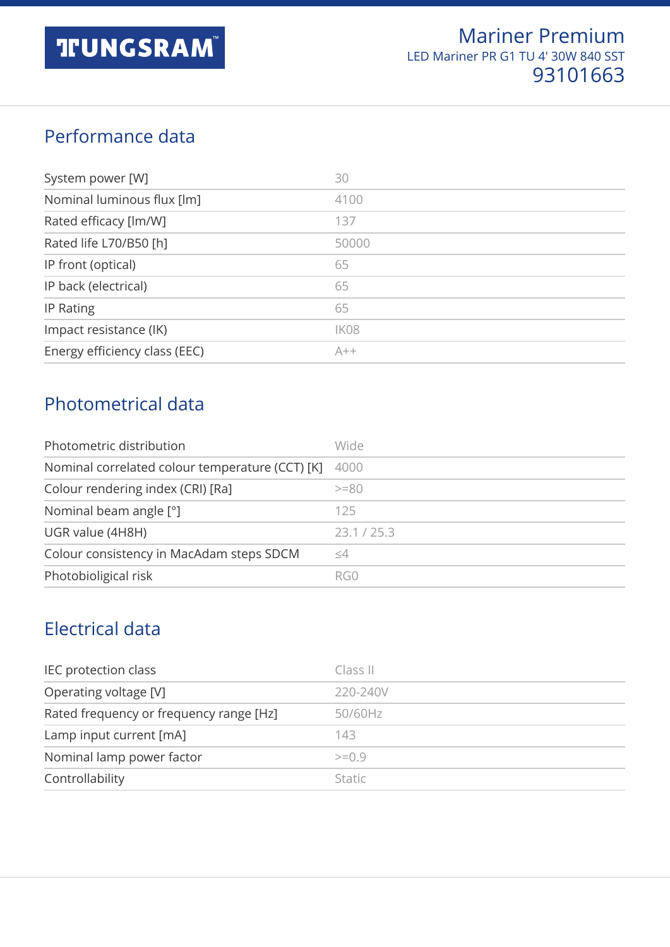#### Performance data

| System power [W]              | 30    |
|-------------------------------|-------|
| Nominal luminous flux [lm]    | 4100  |
| Rated efficacy [lm/W]         | 137   |
| Rated life L70/B50 [h]        | 50000 |
| IP front (optical)            | 65    |
| IP back (electrical)          | 65    |
| IP Rating                     | 65    |
| Impact resistance (IK)        | IK08  |
| Energy efficiency class (EEC) | $A++$ |

#### Photometrical data

| Photometric distribution                        | Wide             |
|-------------------------------------------------|------------------|
| Nominal correlated colour temperature (CCT) [K] | 4000             |
| Colour rendering index (CRI) [Ra]               | $>=80$           |
| Nominal beam angle [°]                          | 125              |
| UGR value (4H8H)                                | 23.1 / 25.3      |
| Colour consistency in MacAdam steps SDCM        | $\leq\!\!\Delta$ |
| Photobioligical risk                            | RG0              |

#### Electrical data

| IEC protection class                    | Class II      |
|-----------------------------------------|---------------|
| Operating voltage [V]                   | 220-240V      |
| Rated frequency or frequency range [Hz] | 50/60Hz       |
| Lamp input current [mA]                 | 143           |
| Nominal lamp power factor               | $>=0.9$       |
| Controllability                         | <b>Static</b> |